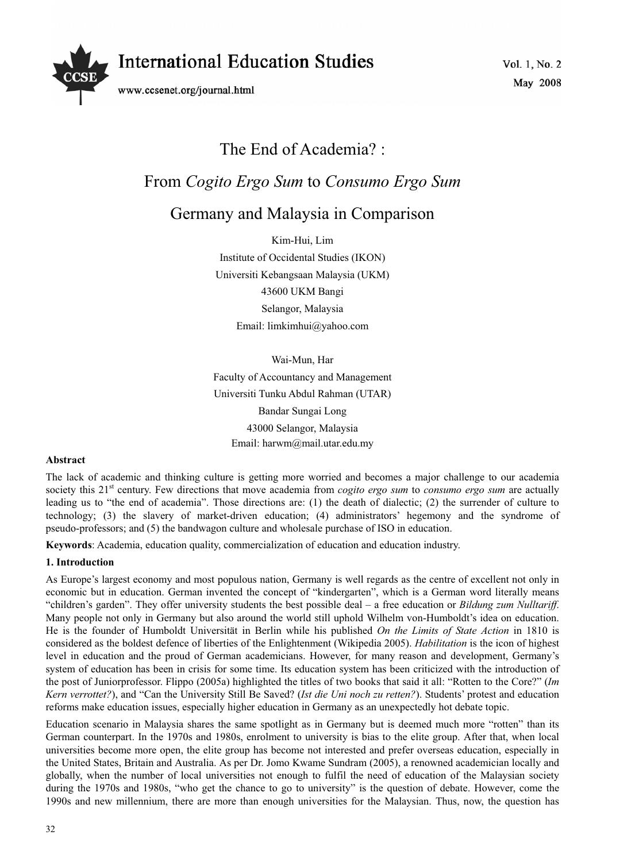

# The End of Academia? : From *Cogito Ergo Sum* to *Consumo Ergo Sum*  Germany and Malaysia in Comparison

Kim-Hui, Lim Institute of Occidental Studies (IKON) Universiti Kebangsaan Malaysia (UKM) 43600 UKM Bangi Selangor, Malaysia Email: limkimhui@yahoo.com

Wai-Mun, Har Faculty of Accountancy and Management Universiti Tunku Abdul Rahman (UTAR) Bandar Sungai Long 43000 Selangor, Malaysia Email: harwm@mail.utar.edu.my

# **Abstract**

The lack of academic and thinking culture is getting more worried and becomes a major challenge to our academia society this 21<sup>st</sup> century. Few directions that move academia from *cogito ergo sum* to *consumo ergo sum* are actually leading us to "the end of academia". Those directions are: (1) the death of dialectic; (2) the surrender of culture to technology; (3) the slavery of market-driven education; (4) administrators' hegemony and the syndrome of pseudo-professors; and (5) the bandwagon culture and wholesale purchase of ISO in education.

**Keywords**: Academia, education quality, commercialization of education and education industry.

# **1. Introduction**

As Europe's largest economy and most populous nation, Germany is well regards as the centre of excellent not only in economic but in education. German invented the concept of "kindergarten", which is a German word literally means "children's garden". They offer university students the best possible deal – a free education or *Bildung zum Nulltariff*. Many people not only in Germany but also around the world still uphold Wilhelm von-Humboldt's idea on education. He is the founder of Humboldt Universität in Berlin while his published *On the Limits of State Action* in 1810 is considered as the boldest defence of liberties of the Enlightenment (Wikipedia 2005). *Habilitation* is the icon of highest level in education and the proud of German academicians. However, for many reason and development, Germany's system of education has been in crisis for some time. Its education system has been criticized with the introduction of the post of Juniorprofessor. Flippo (2005a) highlighted the titles of two books that said it all: "Rotten to the Core?" (*Im Kern verrottet?*), and "Can the University Still Be Saved? (*Ist die Uni noch zu retten?*). Students' protest and education reforms make education issues, especially higher education in Germany as an unexpectedly hot debate topic.

Education scenario in Malaysia shares the same spotlight as in Germany but is deemed much more "rotten" than its German counterpart. In the 1970s and 1980s, enrolment to university is bias to the elite group. After that, when local universities become more open, the elite group has become not interested and prefer overseas education, especially in the United States, Britain and Australia. As per Dr. Jomo Kwame Sundram (2005), a renowned academician locally and globally, when the number of local universities not enough to fulfil the need of education of the Malaysian society during the 1970s and 1980s, "who get the chance to go to university" is the question of debate. However, come the 1990s and new millennium, there are more than enough universities for the Malaysian. Thus, now, the question has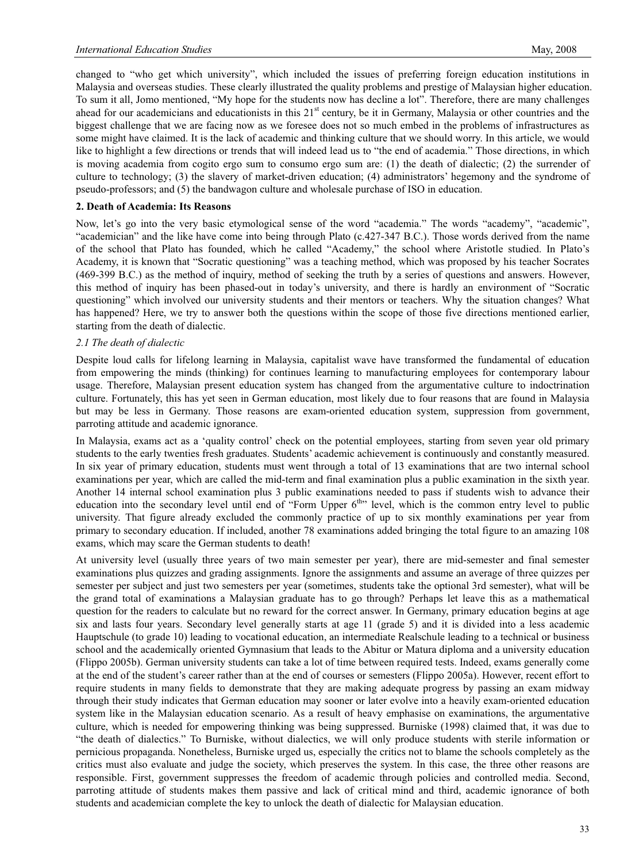changed to "who get which university", which included the issues of preferring foreign education institutions in Malaysia and overseas studies. These clearly illustrated the quality problems and prestige of Malaysian higher education. To sum it all, Jomo mentioned, "My hope for the students now has decline a lot". Therefore, there are many challenges ahead for our academicians and educationists in this  $21<sup>st</sup>$  century, be it in Germany, Malaysia or other countries and the biggest challenge that we are facing now as we foresee does not so much embed in the problems of infrastructures as some might have claimed. It is the lack of academic and thinking culture that we should worry. In this article, we would like to highlight a few directions or trends that will indeed lead us to "the end of academia." Those directions, in which is moving academia from cogito ergo sum to consumo ergo sum are: (1) the death of dialectic; (2) the surrender of culture to technology; (3) the slavery of market-driven education; (4) administrators' hegemony and the syndrome of pseudo-professors; and (5) the bandwagon culture and wholesale purchase of ISO in education.

#### **2. Death of Academia: Its Reasons**

Now, let's go into the very basic etymological sense of the word "academia." The words "academy", "academic", "academician" and the like have come into being through Plato (c.427-347 B.C.). Those words derived from the name of the school that Plato has founded, which he called "Academy," the school where Aristotle studied. In Plato's Academy, it is known that "Socratic questioning" was a teaching method, which was proposed by his teacher Socrates (469-399 B.C.) as the method of inquiry, method of seeking the truth by a series of questions and answers. However, this method of inquiry has been phased-out in today's university, and there is hardly an environment of "Socratic questioning" which involved our university students and their mentors or teachers. Why the situation changes? What has happened? Here, we try to answer both the questions within the scope of those five directions mentioned earlier, starting from the death of dialectic.

#### *2.1 The death of dialectic*

Despite loud calls for lifelong learning in Malaysia, capitalist wave have transformed the fundamental of education from empowering the minds (thinking) for continues learning to manufacturing employees for contemporary labour usage. Therefore, Malaysian present education system has changed from the argumentative culture to indoctrination culture. Fortunately, this has yet seen in German education, most likely due to four reasons that are found in Malaysia but may be less in Germany. Those reasons are exam-oriented education system, suppression from government, parroting attitude and academic ignorance.

In Malaysia, exams act as a 'quality control' check on the potential employees, starting from seven year old primary students to the early twenties fresh graduates. Students' academic achievement is continuously and constantly measured. In six year of primary education, students must went through a total of 13 examinations that are two internal school examinations per year, which are called the mid-term and final examination plus a public examination in the sixth year. Another 14 internal school examination plus 3 public examinations needed to pass if students wish to advance their education into the secondary level until end of "Form Upper  $6<sup>th</sup>$ " level, which is the common entry level to public university. That figure already excluded the commonly practice of up to six monthly examinations per year from primary to secondary education. If included, another 78 examinations added bringing the total figure to an amazing 108 exams, which may scare the German students to death!

At university level (usually three years of two main semester per year), there are mid-semester and final semester examinations plus quizzes and grading assignments. Ignore the assignments and assume an average of three quizzes per semester per subject and just two semesters per year (sometimes, students take the optional 3rd semester), what will be the grand total of examinations a Malaysian graduate has to go through? Perhaps let leave this as a mathematical question for the readers to calculate but no reward for the correct answer. In Germany, primary education begins at age six and lasts four years. Secondary level generally starts at age 11 (grade 5) and it is divided into a less academic Hauptschule (to grade 10) leading to vocational education, an intermediate Realschule leading to a technical or business school and the academically oriented Gymnasium that leads to the Abitur or Matura diploma and a university education (Flippo 2005b). German university students can take a lot of time between required tests. Indeed, exams generally come at the end of the student's career rather than at the end of courses or semesters (Flippo 2005a). However, recent effort to require students in many fields to demonstrate that they are making adequate progress by passing an exam midway through their study indicates that German education may sooner or later evolve into a heavily exam-oriented education system like in the Malaysian education scenario. As a result of heavy emphasise on examinations, the argumentative culture, which is needed for empowering thinking was being suppressed. Burniske (1998) claimed that, it was due to "the death of dialectics." To Burniske, without dialectics, we will only produce students with sterile information or pernicious propaganda. Nonetheless, Burniske urged us, especially the critics not to blame the schools completely as the critics must also evaluate and judge the society, which preserves the system. In this case, the three other reasons are responsible. First, government suppresses the freedom of academic through policies and controlled media. Second, parroting attitude of students makes them passive and lack of critical mind and third, academic ignorance of both students and academician complete the key to unlock the death of dialectic for Malaysian education.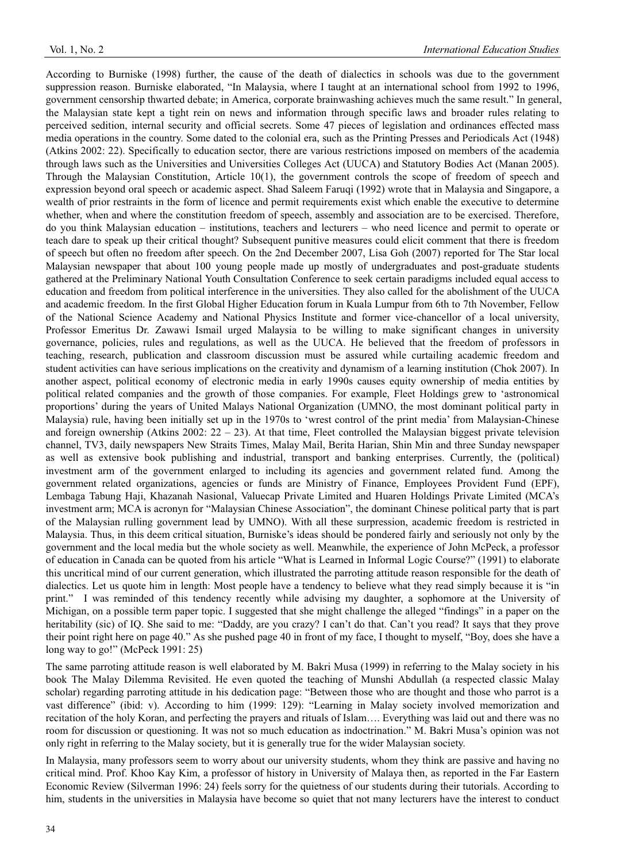According to Burniske (1998) further, the cause of the death of dialectics in schools was due to the government suppression reason. Burniske elaborated, "In Malaysia, where I taught at an international school from 1992 to 1996, government censorship thwarted debate; in America, corporate brainwashing achieves much the same result." In general, the Malaysian state kept a tight rein on news and information through specific laws and broader rules relating to perceived sedition, internal security and official secrets. Some 47 pieces of legislation and ordinances effected mass media operations in the country. Some dated to the colonial era, such as the Printing Presses and Periodicals Act (1948) (Atkins 2002: 22). Specifically to education sector, there are various restrictions imposed on members of the academia through laws such as the Universities and Universities Colleges Act (UUCA) and Statutory Bodies Act (Manan 2005). Through the Malaysian Constitution, Article 10(1), the government controls the scope of freedom of speech and expression beyond oral speech or academic aspect. Shad Saleem Faruqi (1992) wrote that in Malaysia and Singapore, a wealth of prior restraints in the form of licence and permit requirements exist which enable the executive to determine whether, when and where the constitution freedom of speech, assembly and association are to be exercised. Therefore, do you think Malaysian education – institutions, teachers and lecturers – who need licence and permit to operate or teach dare to speak up their critical thought? Subsequent punitive measures could elicit comment that there is freedom of speech but often no freedom after speech. On the 2nd December 2007, Lisa Goh (2007) reported for The Star local Malaysian newspaper that about 100 young people made up mostly of undergraduates and post-graduate students gathered at the Preliminary National Youth Consultation Conference to seek certain paradigms included equal access to education and freedom from political interference in the universities. They also called for the abolishment of the UUCA and academic freedom. In the first Global Higher Education forum in Kuala Lumpur from 6th to 7th November, Fellow of the National Science Academy and National Physics Institute and former vice-chancellor of a local university, Professor Emeritus Dr. Zawawi Ismail urged Malaysia to be willing to make significant changes in university governance, policies, rules and regulations, as well as the UUCA. He believed that the freedom of professors in teaching, research, publication and classroom discussion must be assured while curtailing academic freedom and student activities can have serious implications on the creativity and dynamism of a learning institution (Chok 2007). In another aspect, political economy of electronic media in early 1990s causes equity ownership of media entities by political related companies and the growth of those companies. For example, Fleet Holdings grew to 'astronomical proportions' during the years of United Malays National Organization (UMNO, the most dominant political party in Malaysia) rule, having been initially set up in the 1970s to 'wrest control of the print media' from Malaysian-Chinese and foreign ownership (Atkins 2002:  $22 - 23$ ). At that time, Fleet controlled the Malaysian biggest private television channel, TV3, daily newspapers New Straits Times, Malay Mail, Berita Harian, Shin Min and three Sunday newspaper as well as extensive book publishing and industrial, transport and banking enterprises. Currently, the (political) investment arm of the government enlarged to including its agencies and government related fund. Among the government related organizations, agencies or funds are Ministry of Finance, Employees Provident Fund (EPF), Lembaga Tabung Haji, Khazanah Nasional, Valuecap Private Limited and Huaren Holdings Private Limited (MCA's investment arm; MCA is acronyn for "Malaysian Chinese Association", the dominant Chinese political party that is part of the Malaysian rulling government lead by UMNO). With all these surpression, academic freedom is restricted in Malaysia. Thus, in this deem critical situation, Burniske's ideas should be pondered fairly and seriously not only by the government and the local media but the whole society as well. Meanwhile, the experience of John McPeck, a professor of education in Canada can be quoted from his article "What is Learned in Informal Logic Course?" (1991) to elaborate this uncritical mind of our current generation, which illustrated the parroting attitude reason responsible for the death of dialectics. Let us quote him in length: Most people have a tendency to believe what they read simply because it is "in print." I was reminded of this tendency recently while advising my daughter, a sophomore at the University of Michigan, on a possible term paper topic. I suggested that she might challenge the alleged "findings" in a paper on the heritability (sic) of IQ. She said to me: "Daddy, are you crazy? I can't do that. Can't you read? It says that they prove their point right here on page 40." As she pushed page 40 in front of my face, I thought to myself, "Boy, does she have a long way to go!" (McPeck 1991: 25)

The same parroting attitude reason is well elaborated by M. Bakri Musa (1999) in referring to the Malay society in his book The Malay Dilemma Revisited. He even quoted the teaching of Munshi Abdullah (a respected classic Malay scholar) regarding parroting attitude in his dedication page: "Between those who are thought and those who parrot is a vast difference" (ibid: v). According to him (1999: 129): "Learning in Malay society involved memorization and recitation of the holy Koran, and perfecting the prayers and rituals of Islam…. Everything was laid out and there was no room for discussion or questioning. It was not so much education as indoctrination." M. Bakri Musa's opinion was not only right in referring to the Malay society, but it is generally true for the wider Malaysian society.

In Malaysia, many professors seem to worry about our university students, whom they think are passive and having no critical mind. Prof. Khoo Kay Kim, a professor of history in University of Malaya then, as reported in the Far Eastern Economic Review (Silverman 1996: 24) feels sorry for the quietness of our students during their tutorials. According to him, students in the universities in Malaysia have become so quiet that not many lecturers have the interest to conduct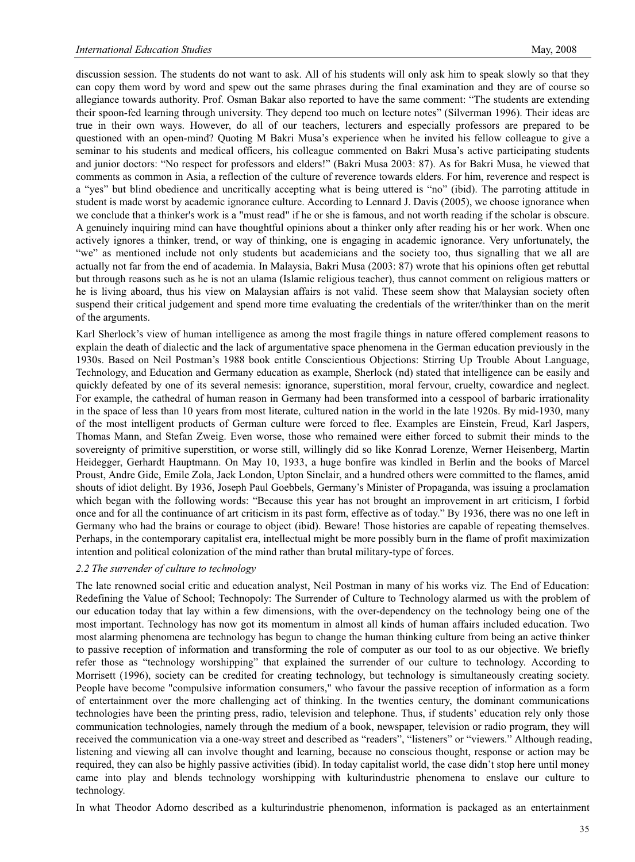discussion session. The students do not want to ask. All of his students will only ask him to speak slowly so that they can copy them word by word and spew out the same phrases during the final examination and they are of course so allegiance towards authority. Prof. Osman Bakar also reported to have the same comment: "The students are extending their spoon-fed learning through university. They depend too much on lecture notes" (Silverman 1996). Their ideas are true in their own ways. However, do all of our teachers, lecturers and especially professors are prepared to be questioned with an open-mind? Quoting M Bakri Musa's experience when he invited his fellow colleague to give a seminar to his students and medical officers, his colleague commented on Bakri Musa's active participating students and junior doctors: "No respect for professors and elders!" (Bakri Musa 2003: 87). As for Bakri Musa, he viewed that comments as common in Asia, a reflection of the culture of reverence towards elders. For him, reverence and respect is a "yes" but blind obedience and uncritically accepting what is being uttered is "no" (ibid). The parroting attitude in student is made worst by academic ignorance culture. According to Lennard J. Davis (2005), we choose ignorance when we conclude that a thinker's work is a "must read" if he or she is famous, and not worth reading if the scholar is obscure. A genuinely inquiring mind can have thoughtful opinions about a thinker only after reading his or her work. When one actively ignores a thinker, trend, or way of thinking, one is engaging in academic ignorance. Very unfortunately, the "we" as mentioned include not only students but academicians and the society too, thus signalling that we all are actually not far from the end of academia. In Malaysia, Bakri Musa (2003: 87) wrote that his opinions often get rebuttal but through reasons such as he is not an ulama (Islamic religious teacher), thus cannot comment on religious matters or he is living aboard, thus his view on Malaysian affairs is not valid. These seem show that Malaysian society often suspend their critical judgement and spend more time evaluating the credentials of the writer/thinker than on the merit of the arguments.

Karl Sherlock's view of human intelligence as among the most fragile things in nature offered complement reasons to explain the death of dialectic and the lack of argumentative space phenomena in the German education previously in the 1930s. Based on Neil Postman's 1988 book entitle Conscientious Objections: Stirring Up Trouble About Language, Technology, and Education and Germany education as example, Sherlock (nd) stated that intelligence can be easily and quickly defeated by one of its several nemesis: ignorance, superstition, moral fervour, cruelty, cowardice and neglect. For example, the cathedral of human reason in Germany had been transformed into a cesspool of barbaric irrationality in the space of less than 10 years from most literate, cultured nation in the world in the late 1920s. By mid-1930, many of the most intelligent products of German culture were forced to flee. Examples are Einstein, Freud, Karl Jaspers, Thomas Mann, and Stefan Zweig. Even worse, those who remained were either forced to submit their minds to the sovereignty of primitive superstition, or worse still, willingly did so like Konrad Lorenze, Werner Heisenberg, Martin Heidegger, Gerhardt Hauptmann. On May 10, 1933, a huge bonfire was kindled in Berlin and the books of Marcel Proust, Andre Gide, Emile Zola, Jack London, Upton Sinclair, and a hundred others were committed to the flames, amid shouts of idiot delight. By 1936, Joseph Paul Goebbels, Germany's Minister of Propaganda, was issuing a proclamation which began with the following words: "Because this year has not brought an improvement in art criticism, I forbid once and for all the continuance of art criticism in its past form, effective as of today." By 1936, there was no one left in Germany who had the brains or courage to object (ibid). Beware! Those histories are capable of repeating themselves. Perhaps, in the contemporary capitalist era, intellectual might be more possibly burn in the flame of profit maximization intention and political colonization of the mind rather than brutal military-type of forces.

# *2.2 The surrender of culture to technology*

The late renowned social critic and education analyst, Neil Postman in many of his works viz. The End of Education: Redefining the Value of School; Technopoly: The Surrender of Culture to Technology alarmed us with the problem of our education today that lay within a few dimensions, with the over-dependency on the technology being one of the most important. Technology has now got its momentum in almost all kinds of human affairs included education. Two most alarming phenomena are technology has begun to change the human thinking culture from being an active thinker to passive reception of information and transforming the role of computer as our tool to as our objective. We briefly refer those as "technology worshipping" that explained the surrender of our culture to technology. According to Morrisett (1996), society can be credited for creating technology, but technology is simultaneously creating society. People have become "compulsive information consumers," who favour the passive reception of information as a form of entertainment over the more challenging act of thinking. In the twenties century, the dominant communications technologies have been the printing press, radio, television and telephone. Thus, if students' education rely only those communication technologies, namely through the medium of a book, newspaper, television or radio program, they will received the communication via a one-way street and described as "readers", "listeners" or "viewers." Although reading, listening and viewing all can involve thought and learning, because no conscious thought, response or action may be required, they can also be highly passive activities (ibid). In today capitalist world, the case didn't stop here until money came into play and blends technology worshipping with kulturindustrie phenomena to enslave our culture to technology.

In what Theodor Adorno described as a kulturindustrie phenomenon, information is packaged as an entertainment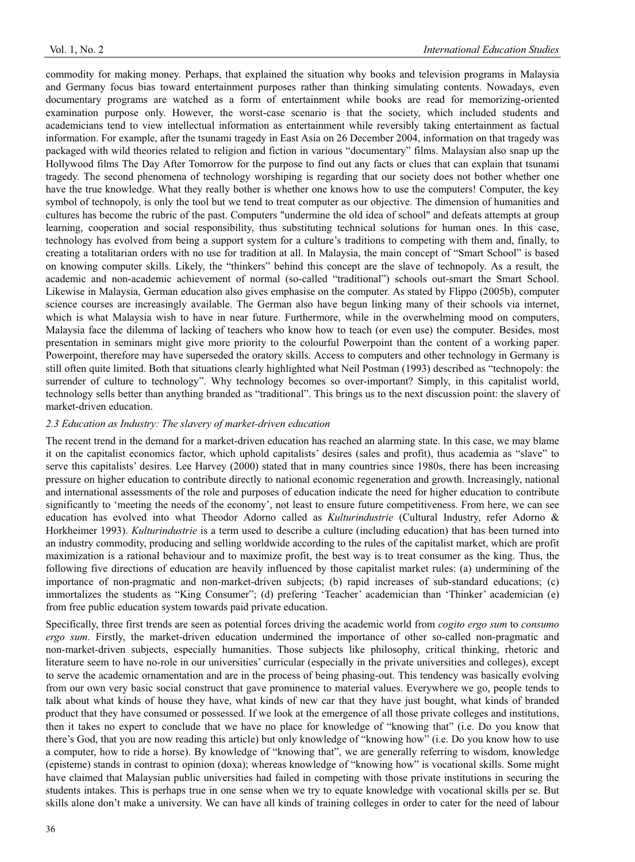commodity for making money. Perhaps, that explained the situation why books and television programs in Malaysia and Germany focus bias toward entertainment purposes rather than thinking simulating contents. Nowadays, even documentary programs are watched as a form of entertainment while books are read for memorizing-oriented examination purpose only. However, the worst-case scenario is that the society, which included students and academicians tend to view intellectual information as entertainment while reversibly taking entertainment as factual information. For example, after the tsunami tragedy in East Asia on 26 December 2004, information on that tragedy was packaged with wild theories related to religion and fiction in various "documentary" films. Malaysian also snap up the Hollywood films The Day After Tomorrow for the purpose to find out any facts or clues that can explain that tsunami tragedy. The second phenomena of technology worshiping is regarding that our society does not bother whether one have the true knowledge. What they really bother is whether one knows how to use the computers! Computer, the key symbol of technopoly, is only the tool but we tend to treat computer as our objective. The dimension of humanities and cultures has become the rubric of the past. Computers "undermine the old idea of school" and defeats attempts at group learning, cooperation and social responsibility, thus substituting technical solutions for human ones. In this case, technology has evolved from being a support system for a culture's traditions to competing with them and, finally, to creating a totalitarian orders with no use for tradition at all. In Malaysia, the main concept of "Smart School" is based on knowing computer skills. Likely, the "thinkers" behind this concept are the slave of technopoly. As a result, the academic and non-academic achievement of normal (so-called "traditional") schools out-smart the Smart School. Likewise in Malaysia, German education also gives emphasise on the computer. As stated by Flippo (2005b), computer science courses are increasingly available. The German also have begun linking many of their schools via internet, which is what Malaysia wish to have in near future. Furthermore, while in the overwhelming mood on computers, Malaysia face the dilemma of lacking of teachers who know how to teach (or even use) the computer. Besides, most presentation in seminars might give more priority to the colourful Powerpoint than the content of a working paper. Powerpoint, therefore may have superseded the oratory skills. Access to computers and other technology in Germany is still often quite limited. Both that situations clearly highlighted what Neil Postman (1993) described as "technopoly: the surrender of culture to technology". Why technology becomes so over-important? Simply, in this capitalist world, technology sells better than anything branded as "traditional". This brings us to the next discussion point: the slavery of market-driven education.

### *2.3 Education as Industry: The slavery of market-driven education*

The recent trend in the demand for a market-driven education has reached an alarming state. In this case, we may blame it on the capitalist economics factor, which uphold capitalists' desires (sales and profit), thus academia as "slave" to serve this capitalists' desires. Lee Harvey (2000) stated that in many countries since 1980s, there has been increasing pressure on higher education to contribute directly to national economic regeneration and growth. Increasingly, national and international assessments of the role and purposes of education indicate the need for higher education to contribute significantly to 'meeting the needs of the economy', not least to ensure future competitiveness. From here, we can see education has evolved into what Theodor Adorno called as *Kulturindustrie* (Cultural Industry, refer Adorno & Horkheimer 1993). *Kulturindustrie* is a term used to describe a culture (including education) that has been turned into an industry commodity, producing and selling worldwide according to the rules of the capitalist market, which are profit maximization is a rational behaviour and to maximize profit, the best way is to treat consumer as the king. Thus, the following five directions of education are heavily influenced by those capitalist market rules: (a) undermining of the importance of non-pragmatic and non-market-driven subjects; (b) rapid increases of sub-standard educations; (c) immortalizes the students as "King Consumer"; (d) prefering 'Teacher' academician than 'Thinker' academician (e) from free public education system towards paid private education.

Specifically, three first trends are seen as potential forces driving the academic world from *cogito ergo sum* to *consumo ergo sum*. Firstly, the market-driven education undermined the importance of other so-called non-pragmatic and non-market-driven subjects, especially humanities. Those subjects like philosophy, critical thinking, rhetoric and literature seem to have no-role in our universities' curricular (especially in the private universities and colleges), except to serve the academic ornamentation and are in the process of being phasing-out. This tendency was basically evolving from our own very basic social construct that gave prominence to material values. Everywhere we go, people tends to talk about what kinds of house they have, what kinds of new car that they have just bought, what kinds of branded product that they have consumed or possessed. If we look at the emergence of all those private colleges and institutions, then it takes no expert to conclude that we have no place for knowledge of "knowing that" (i.e. Do you know that there's God, that you are now reading this article) but only knowledge of "knowing how" (i.e. Do you know how to use a computer, how to ride a horse). By knowledge of "knowing that", we are generally referring to wisdom, knowledge (episteme) stands in contrast to opinion (doxa); whereas knowledge of "knowing how" is vocational skills. Some might have claimed that Malaysian public universities had failed in competing with those private institutions in securing the students intakes. This is perhaps true in one sense when we try to equate knowledge with vocational skills per se. But skills alone don't make a university. We can have all kinds of training colleges in order to cater for the need of labour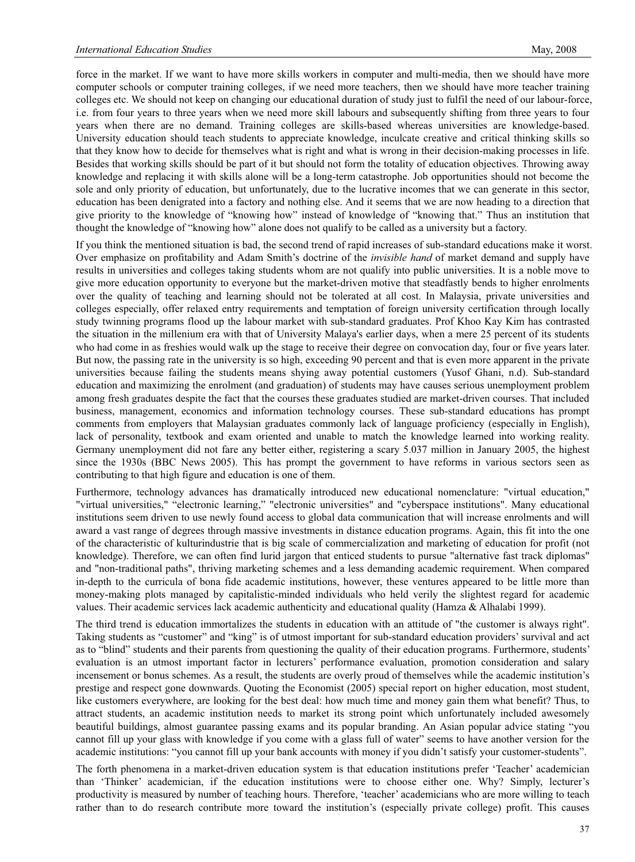force in the market. If we want to have more skills workers in computer and multi-media, then we should have more computer schools or computer training colleges, if we need more teachers, then we should have more teacher training colleges etc. We should not keep on changing our educational duration of study just to fulfil the need of our labour-force, i.e. from four years to three years when we need more skill labours and subsequently shifting from three years to four years when there are no demand. Training colleges are skills-based whereas universities are knowledge-based. University education should teach students to appreciate knowledge, inculcate creative and critical thinking skills so that they know how to decide for themselves what is right and what is wrong in their decision-making processes in life. Besides that working skills should be part of it but should not form the totality of education objectives. Throwing away knowledge and replacing it with skills alone will be a long-term catastrophe. Job opportunities should not become the sole and only priority of education, but unfortunately, due to the lucrative incomes that we can generate in this sector, education has been denigrated into a factory and nothing else. And it seems that we are now heading to a direction that give priority to the knowledge of "knowing how" instead of knowledge of "knowing that." Thus an institution that thought the knowledge of "knowing how" alone does not qualify to be called as a university but a factory.

If you think the mentioned situation is bad, the second trend of rapid increases of sub-standard educations make it worst. Over emphasize on profitability and Adam Smith's doctrine of the *invisible hand* of market demand and supply have results in universities and colleges taking students whom are not qualify into public universities. It is a noble move to give more education opportunity to everyone but the market-driven motive that steadfastly bends to higher enrolments over the quality of teaching and learning should not be tolerated at all cost. In Malaysia, private universities and colleges especially, offer relaxed entry requirements and temptation of foreign university certification through locally study twinning programs flood up the labour market with sub-standard graduates. Prof Khoo Kay Kim has contrasted the situation in the millenium era with that of University Malaya's earlier days, when a mere 25 percent of its students who had come in as freshies would walk up the stage to receive their degree on convocation day, four or five years later. But now, the passing rate in the university is so high, exceeding 90 percent and that is even more apparent in the private universities because failing the students means shying away potential customers (Yusof Ghani, n.d). Sub-standard education and maximizing the enrolment (and graduation) of students may have causes serious unemployment problem among fresh graduates despite the fact that the courses these graduates studied are market-driven courses. That included business, management, economics and information technology courses. These sub-standard educations has prompt comments from employers that Malaysian graduates commonly lack of language proficiency (especially in English), lack of personality, textbook and exam oriented and unable to match the knowledge learned into working reality. Germany unemployment did not fare any better either, registering a scary 5.037 million in January 2005, the highest since the 1930s (BBC News 2005). This has prompt the government to have reforms in various sectors seen as contributing to that high figure and education is one of them.

Furthermore, technology advances has dramatically introduced new educational nomenclature: "virtual education," "virtual universities," "electronic learning," "electronic universities" and "cyberspace institutions". Many educational institutions seem driven to use newly found access to global data communication that will increase enrolments and will award a vast range of degrees through massive investments in distance education programs. Again, this fit into the one of the characteristic of kulturindustrie that is big scale of commercialization and marketing of education for profit (not knowledge). Therefore, we can often find lurid jargon that enticed students to pursue "alternative fast track diplomas" and "non-traditional paths", thriving marketing schemes and a less demanding academic requirement. When compared in-depth to the curricula of bona fide academic institutions, however, these ventures appeared to be little more than money-making plots managed by capitalistic-minded individuals who held verily the slightest regard for academic values. Their academic services lack academic authenticity and educational quality (Hamza & Alhalabi 1999).

The third trend is education immortalizes the students in education with an attitude of "the customer is always right". Taking students as "customer" and "king" is of utmost important for sub-standard education providers' survival and act as to "blind" students and their parents from questioning the quality of their education programs. Furthermore, students' evaluation is an utmost important factor in lecturers' performance evaluation, promotion consideration and salary incensement or bonus schemes. As a result, the students are overly proud of themselves while the academic institution's prestige and respect gone downwards. Quoting the Economist (2005) special report on higher education, most student, like customers everywhere, are looking for the best deal: how much time and money gain them what benefit? Thus, to attract students, an academic institution needs to market its strong point which unfortunately included awesomely beautiful buildings, almost guarantee passing exams and its popular branding. An Asian popular advice stating "you cannot fill up your glass with knowledge if you come with a glass full of water" seems to have another version for the academic institutions: "you cannot fill up your bank accounts with money if you didn't satisfy your customer-students".

The forth phenomena in a market-driven education system is that education institutions prefer 'Teacher' academician than 'Thinker' academician, if the education institutions were to choose either one. Why? Simply, lecturer's productivity is measured by number of teaching hours. Therefore, 'teacher' academicians who are more willing to teach rather than to do research contribute more toward the institution's (especially private college) profit. This causes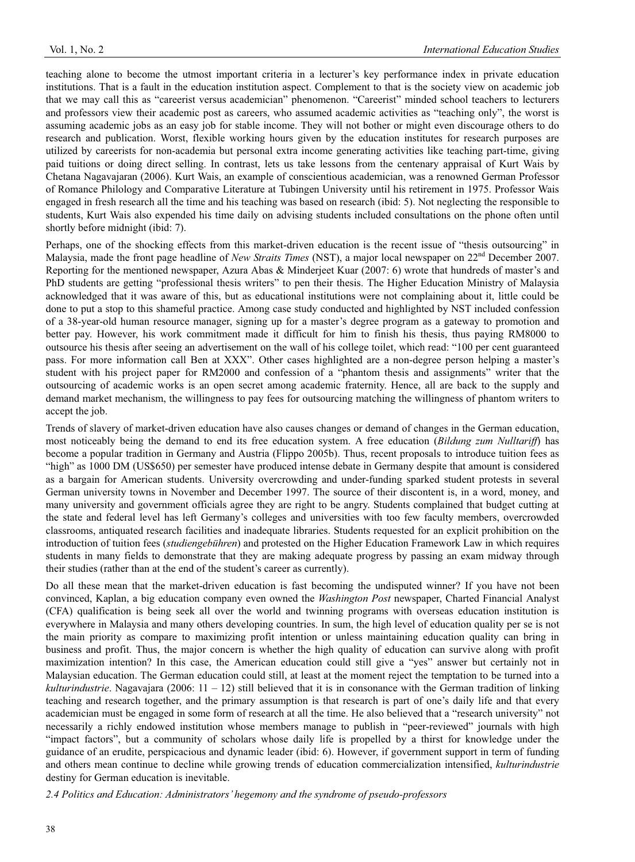teaching alone to become the utmost important criteria in a lecturer's key performance index in private education institutions. That is a fault in the education institution aspect. Complement to that is the society view on academic job that we may call this as "careerist versus academician" phenomenon. "Careerist" minded school teachers to lecturers and professors view their academic post as careers, who assumed academic activities as "teaching only", the worst is assuming academic jobs as an easy job for stable income. They will not bother or might even discourage others to do research and publication. Worst, flexible working hours given by the education institutes for research purposes are utilized by careerists for non-academia but personal extra income generating activities like teaching part-time, giving paid tuitions or doing direct selling. In contrast, lets us take lessons from the centenary appraisal of Kurt Wais by Chetana Nagavajaran (2006). Kurt Wais, an example of conscientious academician, was a renowned German Professor of Romance Philology and Comparative Literature at Tubingen University until his retirement in 1975. Professor Wais engaged in fresh research all the time and his teaching was based on research (ibid: 5). Not neglecting the responsible to students, Kurt Wais also expended his time daily on advising students included consultations on the phone often until shortly before midnight (ibid: 7).

Perhaps, one of the shocking effects from this market-driven education is the recent issue of "thesis outsourcing" in Malaysia, made the front page headline of *New Straits Times* (NST), a major local newspaper on 22nd December 2007. Reporting for the mentioned newspaper, Azura Abas & Minderjeet Kuar (2007: 6) wrote that hundreds of master's and PhD students are getting "professional thesis writers" to pen their thesis. The Higher Education Ministry of Malaysia acknowledged that it was aware of this, but as educational institutions were not complaining about it, little could be done to put a stop to this shameful practice. Among case study conducted and highlighted by NST included confession of a 38-year-old human resource manager, signing up for a master's degree program as a gateway to promotion and better pay. However, his work commitment made it difficult for him to finish his thesis, thus paying RM8000 to outsource his thesis after seeing an advertisement on the wall of his college toilet, which read: "100 per cent guaranteed pass. For more information call Ben at XXX". Other cases highlighted are a non-degree person helping a master's student with his project paper for RM2000 and confession of a "phantom thesis and assignments" writer that the outsourcing of academic works is an open secret among academic fraternity. Hence, all are back to the supply and demand market mechanism, the willingness to pay fees for outsourcing matching the willingness of phantom writers to accept the job.

Trends of slavery of market-driven education have also causes changes or demand of changes in the German education, most noticeably being the demand to end its free education system. A free education (*Bildung zum Nulltariff*) has become a popular tradition in Germany and Austria (Flippo 2005b). Thus, recent proposals to introduce tuition fees as "high" as 1000 DM (US\$650) per semester have produced intense debate in Germany despite that amount is considered as a bargain for American students. University overcrowding and under-funding sparked student protests in several German university towns in November and December 1997. The source of their discontent is, in a word, money, and many university and government officials agree they are right to be angry. Students complained that budget cutting at the state and federal level has left Germany's colleges and universities with too few faculty members, overcrowded classrooms, antiquated research facilities and inadequate libraries. Students requested for an explicit prohibition on the introduction of tuition fees (*studiengebühren*) and protested on the Higher Education Framework Law in which requires students in many fields to demonstrate that they are making adequate progress by passing an exam midway through their studies (rather than at the end of the student's career as currently).

Do all these mean that the market-driven education is fast becoming the undisputed winner? If you have not been convinced, Kaplan, a big education company even owned the *Washington Post* newspaper, Charted Financial Analyst (CFA) qualification is being seek all over the world and twinning programs with overseas education institution is everywhere in Malaysia and many others developing countries. In sum, the high level of education quality per se is not the main priority as compare to maximizing profit intention or unless maintaining education quality can bring in business and profit. Thus, the major concern is whether the high quality of education can survive along with profit maximization intention? In this case, the American education could still give a "yes" answer but certainly not in Malaysian education. The German education could still, at least at the moment reject the temptation to be turned into a  $kulturindustrie$ . Nagavajara (2006:  $11 - 12$ ) still believed that it is in consonance with the German tradition of linking teaching and research together, and the primary assumption is that research is part of one's daily life and that every academician must be engaged in some form of research at all the time. He also believed that a "research university" not necessarily a richly endowed institution whose members manage to publish in "peer-reviewed" journals with high "impact factors", but a community of scholars whose daily life is propelled by a thirst for knowledge under the guidance of an erudite, perspicacious and dynamic leader (ibid: 6). However, if government support in term of funding and others mean continue to decline while growing trends of education commercialization intensified, *kulturindustrie* destiny for German education is inevitable.

*2.4 Politics and Education: Administrators' hegemony and the syndrome of pseudo-professors*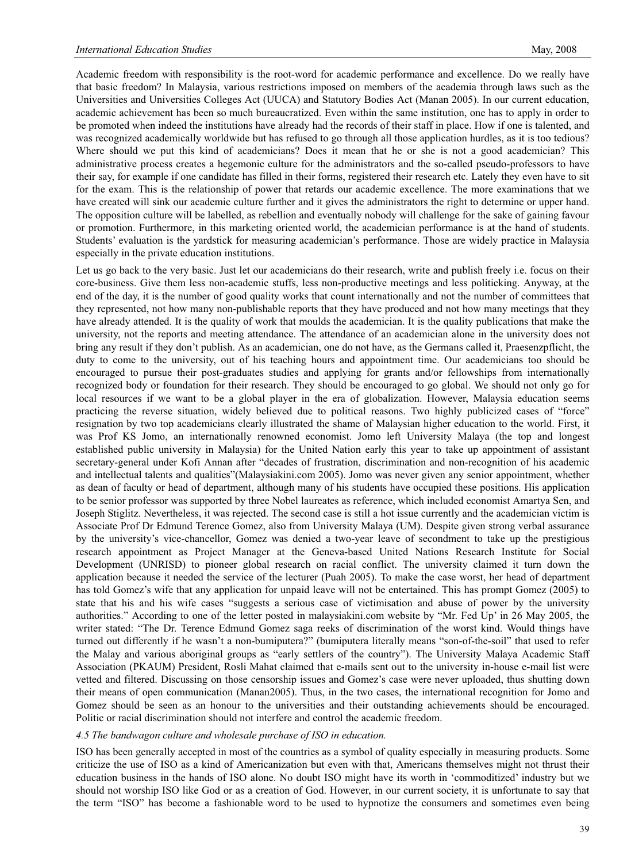Academic freedom with responsibility is the root-word for academic performance and excellence. Do we really have that basic freedom? In Malaysia, various restrictions imposed on members of the academia through laws such as the Universities and Universities Colleges Act (UUCA) and Statutory Bodies Act (Manan 2005). In our current education, academic achievement has been so much bureaucratized. Even within the same institution, one has to apply in order to be promoted when indeed the institutions have already had the records of their staff in place. How if one is talented, and was recognized academically worldwide but has refused to go through all those application hurdles, as it is too tedious? Where should we put this kind of academicians? Does it mean that he or she is not a good academician? This administrative process creates a hegemonic culture for the administrators and the so-called pseudo-professors to have their say, for example if one candidate has filled in their forms, registered their research etc. Lately they even have to sit for the exam. This is the relationship of power that retards our academic excellence. The more examinations that we have created will sink our academic culture further and it gives the administrators the right to determine or upper hand. The opposition culture will be labelled, as rebellion and eventually nobody will challenge for the sake of gaining favour or promotion. Furthermore, in this marketing oriented world, the academician performance is at the hand of students. Students' evaluation is the yardstick for measuring academician's performance. Those are widely practice in Malaysia especially in the private education institutions.

Let us go back to the very basic. Just let our academicians do their research, write and publish freely i.e. focus on their core-business. Give them less non-academic stuffs, less non-productive meetings and less politicking. Anyway, at the end of the day, it is the number of good quality works that count internationally and not the number of committees that they represented, not how many non-publishable reports that they have produced and not how many meetings that they have already attended. It is the quality of work that moulds the academician. It is the quality publications that make the university, not the reports and meeting attendance. The attendance of an academician alone in the university does not bring any result if they don't publish. As an academician, one do not have, as the Germans called it, Praesenzpflicht, the duty to come to the university, out of his teaching hours and appointment time. Our academicians too should be encouraged to pursue their post-graduates studies and applying for grants and/or fellowships from internationally recognized body or foundation for their research. They should be encouraged to go global. We should not only go for local resources if we want to be a global player in the era of globalization. However, Malaysia education seems practicing the reverse situation, widely believed due to political reasons. Two highly publicized cases of "force" resignation by two top academicians clearly illustrated the shame of Malaysian higher education to the world. First, it was Prof KS Jomo, an internationally renowned economist. Jomo left University Malaya (the top and longest established public university in Malaysia) for the United Nation early this year to take up appointment of assistant secretary-general under Kofi Annan after "decades of frustration, discrimination and non-recognition of his academic and intellectual talents and qualities"(Malaysiakini.com 2005). Jomo was never given any senior appointment, whether as dean of faculty or head of department, although many of his students have occupied these positions. His application to be senior professor was supported by three Nobel laureates as reference, which included economist Amartya Sen, and Joseph Stiglitz. Nevertheless, it was rejected. The second case is still a hot issue currently and the academician victim is Associate Prof Dr Edmund Terence Gomez, also from University Malaya (UM). Despite given strong verbal assurance by the university's vice-chancellor, Gomez was denied a two-year leave of secondment to take up the prestigious research appointment as Project Manager at the Geneva-based United Nations Research Institute for Social Development (UNRISD) to pioneer global research on racial conflict. The university claimed it turn down the application because it needed the service of the lecturer (Puah 2005). To make the case worst, her head of department has told Gomez's wife that any application for unpaid leave will not be entertained. This has prompt Gomez (2005) to state that his and his wife cases "suggests a serious case of victimisation and abuse of power by the university authorities." According to one of the letter posted in malaysiakini.com website by "Mr. Fed Up' in 26 May 2005, the writer stated: "The Dr. Terence Edmund Gomez saga reeks of discrimination of the worst kind. Would things have turned out differently if he wasn't a non-bumiputera?" (bumiputera literally means "son-of-the-soil" that used to refer the Malay and various aboriginal groups as "early settlers of the country"). The University Malaya Academic Staff Association (PKAUM) President, Rosli Mahat claimed that e-mails sent out to the university in-house e-mail list were vetted and filtered. Discussing on those censorship issues and Gomez's case were never uploaded, thus shutting down their means of open communication (Manan2005). Thus, in the two cases, the international recognition for Jomo and Gomez should be seen as an honour to the universities and their outstanding achievements should be encouraged. Politic or racial discrimination should not interfere and control the academic freedom.

#### *4.5 The bandwagon culture and wholesale purchase of ISO in education.*

ISO has been generally accepted in most of the countries as a symbol of quality especially in measuring products. Some criticize the use of ISO as a kind of Americanization but even with that, Americans themselves might not thrust their education business in the hands of ISO alone. No doubt ISO might have its worth in 'commoditized' industry but we should not worship ISO like God or as a creation of God. However, in our current society, it is unfortunate to say that the term "ISO" has become a fashionable word to be used to hypnotize the consumers and sometimes even being